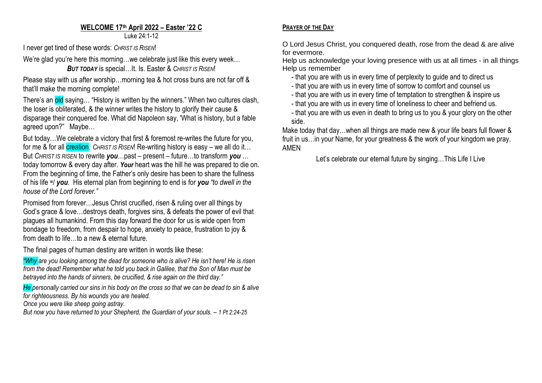## **WELCOME 17 th April 2022 – Easter '22 C**

Luke 24:1-12

I never get tired of these words: *CHRIST IS RISEN*!

We're glad you're here this morning...we celebrate just like this every week...

*BUT TODAY* is special…It. Is. Easter & *CHRIST IS RISEN*!

Please stay with us after worship…morning tea & hot cross buns are not far off & that'll make the morning complete!

There's an old saying... "History is written by the winners." When two cultures clash, the loser is obliterated, & the winner writes the history to glorify their cause & disparage their conquered foe. What did Napoleon say, 'What is history, but a fable agreed upon?" Maybe…

But today…We celebrate a victory that first & foremost re-writes the future for you, for me & for all **creation**. *CHRIST IS RISEN*! Re-writing history is easy – we all do it... But *CHRIST IS RISEN* to rewrite *you*…past – present – future…to transform *you* … today tomorrow & every day after. *Your* heart was the hill he was prepared to die on. From the beginning of time, the Father's only desire has been to share the fullness of his life w/ *you*. His eternal plan from beginning to end is for *you "to dwell in the house of the Lord forever."*

Promised from forever…Jesus Christ crucified, risen & ruling over all things by God's grace & love...destrovs death, forgives sins, & defeats the power of evil that plagues all humankind. From this day forward the door for us is wide open from bondage to freedom, from despair to hope, anxiety to peace, frustration to joy & from death to life…to a new & eternal future.

The final pages of human destiny are written in words like these:

*"Why are you looking among the dead for someone who is alive? He isn't here! He is risen from the dead! Remember what he told you back in Galilee, that the Son of Man must be betrayed into the hands of sinners, be crucified, & rise again on the third day."*

*He personally carried our sins in his body on the cross so that we can be dead to sin & alive for righteousness. By his wounds you are healed.*

*Once you were like sheep going astray.*

*But now you have returned to your Shepherd, the Guardian of your souls. – 1 Pt 2:24-25*

## **PRAYER OF THE DAY**

O Lord Jesus Christ, you conquered death, rose from the dead & are alive for evermore.

Help us acknowledge your loving presence with us at all times - in all things Help us remember

- that you are with us in every time of perplexity to guide and to direct us
- that you are with us in every time of sorrow to comfort and counsel us
- that you are with us in every time of temptation to strengthen & inspire us
- that you are with us in every time of loneliness to cheer and befriend us.

- that you are with us even in death to bring us to you & your glory on the other side.

Make today that day...when all things are made new & your life bears full flower & fruit in us…in your Name, for your greatness & the work of your kingdom we pray. AMEN

Let's celebrate our eternal future by singing…This Life I Live